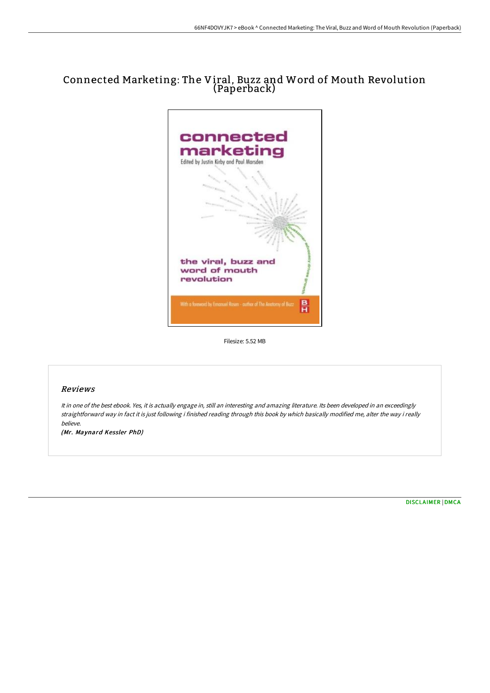## Connected Marketing: The Viral, Buzz and Word of Mouth Revolution (Paperback)



Filesize: 5.52 MB

## Reviews

It in one of the best ebook. Yes, it is actually engage in, still an interesting and amazing literature. Its been developed in an exceedingly straightforward way in fact it is just following i finished reading through this book by which basically modified me, alter the way i really believe.

(Mr. Maynard Kessler PhD)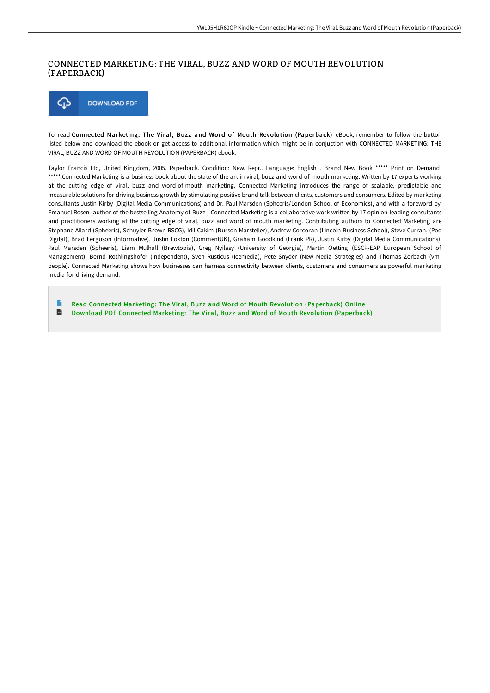## CONNECTED MARKETING: THE VIRAL, BUZZ AND WORD OF MOUTH REVOLUTION (PAPERBACK)



To read Connected Marketing: The Viral, Buzz and Word of Mouth Revolution (Paperback) eBook, remember to follow the button listed below and download the ebook or get access to additional information which might be in conjuction with CONNECTED MARKETING: THE VIRAL, BUZZ AND WORD OF MOUTH REVOLUTION (PAPERBACK) ebook.

Taylor Francis Ltd, United Kingdom, 2005. Paperback. Condition: New. Repr.. Language: English . Brand New Book \*\*\*\*\* Print on Demand \*\*\*\*\*.Connected Marketing is a business book about the state of the art in viral, buzz and word-of-mouth marketing. Written by 17 experts working at the cutting edge of viral, buzz and word-of-mouth marketing, Connected Marketing introduces the range of scalable, predictable and measurable solutions for driving business growth by stimulating positive brand talk between clients, customers and consumers. Edited by marketing consultants Justin Kirby (Digital Media Communications) and Dr. Paul Marsden (Spheeris/London School of Economics), and with a foreword by Emanuel Rosen (author of the bestselling Anatomy of Buzz ) Connected Marketing is a collaborative work written by 17 opinion-leading consultants and practitioners working at the cutting edge of viral, buzz and word of mouth marketing. Contributing authors to Connected Marketing are Stephane Allard (Spheeris), Schuyler Brown RSCG), Idil Cakim (Burson-Marsteller), Andrew Corcoran (Lincoln Business School), Steve Curran, (Pod Digital), Brad Ferguson (Informative), Justin Foxton (CommentUK), Graham Goodkind (Frank PR), Justin Kirby (Digital Media Communications), Paul Marsden (Spheeris), Liam Mulhall (Brewtopia), Greg Nyilasy (University of Georgia), Martin Oetting (ESCP-EAP European School of Management), Bernd Rothlingshofer (Independent), Sven Rusticus (Icemedia), Pete Snyder (New Media Strategies) and Thomas Zorbach (vmpeople). Connected Marketing shows how businesses can harness connectivity between clients, customers and consumers as powerful marketing media for driving demand.

Read Connected Marketing: The Viral, Buzz and Word of Mouth Revolution [\(Paperback\)](http://techno-pub.tech/connected-marketing-the-viral-buzz-and-word-of-m.html) Online  $\blacksquare$ Download PDF Connected Marketing: The Viral, Buzz and Word of Mouth Revolution [\(Paperback\)](http://techno-pub.tech/connected-marketing-the-viral-buzz-and-word-of-m.html)